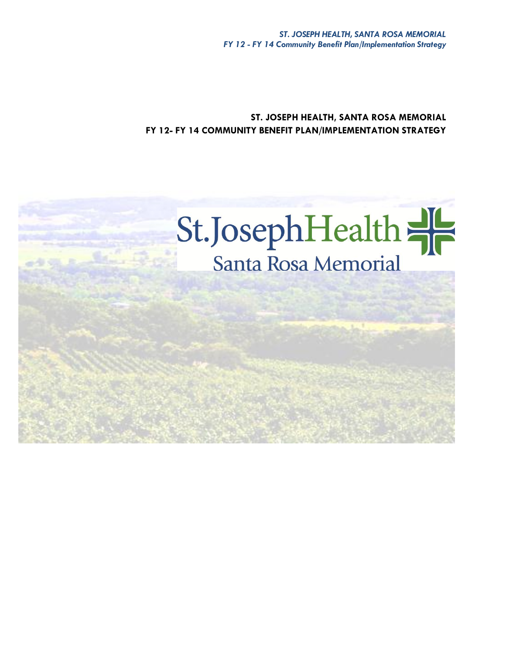**ST. JOSEPH HEALTH, SANTA ROSA MEMORIAL FY 12- FY 14 COMMUNITY BENEFIT PLAN/IMPLEMENTATION STRATEGY**

# St. Joseph Health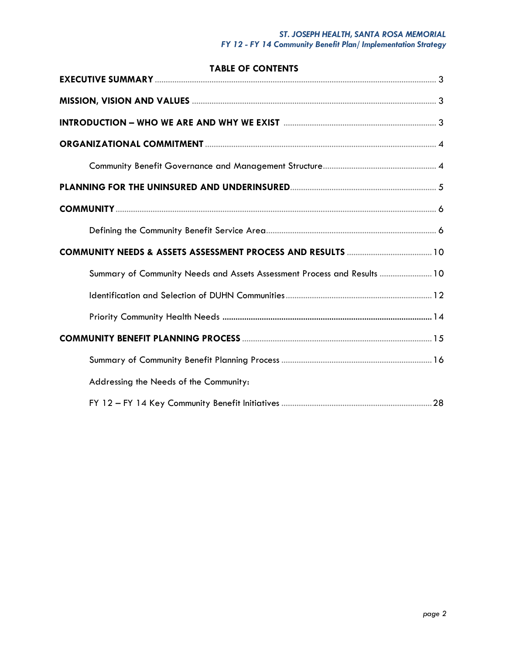# *ST. JOSEPH HEALTH, SANTA ROSA MEMORIAL FY 12 - FY 14 Community Benefit Plan/ Implementation Strategy*

| <b>TABLE OF CONTENTS</b>                                                 |  |
|--------------------------------------------------------------------------|--|
|                                                                          |  |
|                                                                          |  |
|                                                                          |  |
|                                                                          |  |
|                                                                          |  |
|                                                                          |  |
|                                                                          |  |
|                                                                          |  |
|                                                                          |  |
| Summary of Community Needs and Assets Assessment Process and Results  10 |  |
|                                                                          |  |
|                                                                          |  |
|                                                                          |  |
|                                                                          |  |
| Addressing the Needs of the Community:                                   |  |
|                                                                          |  |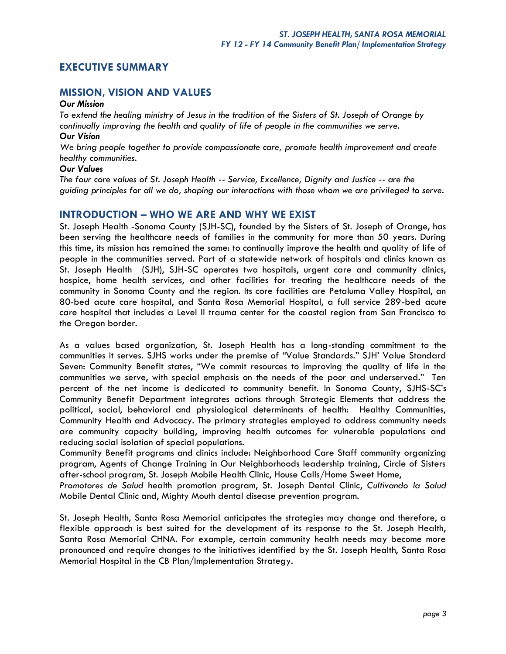# **EXECUTIVE SUMMARY**

# **MISSION, VISION AND VALUES**

### *Our Mission*

*To extend the healing ministry of Jesus in the tradition of the Sisters of St. Joseph of Orange by continually improving the health and quality of life of people in the communities we serve. Our Vision*

*We bring people together to provide compassionate care, promote health improvement and create healthy communities.* 

### *Our Values*

*The four core values of St. Joseph Health -- Service, Excellence, Dignity and Justice -- are the guiding principles for all we do, shaping our interactions with those whom we are privileged to serve.*

### **INTRODUCTION – WHO WE ARE AND WHY WE EXIST**

St. Joseph Health -Sonoma County (SJH-SC), founded by the Sisters of St. Joseph of Orange, has been serving the healthcare needs of families in the community for more than 50 years. During this time, its mission has remained the same: to continually improve the health and quality of life of people in the communities served. Part of a statewide network of hospitals and clinics known as St. Joseph Health (SJH), SJH-SC operates two hospitals, urgent care and community clinics, hospice, home health services, and other facilities for treating the healthcare needs of the community in Sonoma County and the region. Its core facilities are Petaluma Valley Hospital, an 80-bed acute care hospital, and Santa Rosa Memorial Hospital, a full service 289-bed acute care hospital that includes a Level II trauma center for the coastal region from San Francisco to the Oregon border.

As a values based organization, St. Joseph Health has a long-standing commitment to the communities it serves. SJHS works under the premise of "Value Standards." SJH' Value Standard Seven: Community Benefit states, "We commit resources to improving the quality of life in the communities we serve, with special emphasis on the needs of the poor and underserved." Ten percent of the net income is dedicated to community benefit. In Sonoma County, SJHS-SC's Community Benefit Department integrates actions through Strategic Elements that address the political, social, behavioral and physiological determinants of health: Healthy Communities, Community Health and Advocacy. The primary strategies employed to address community needs are community capacity building, improving health outcomes for vulnerable populations and reducing social isolation of special populations.

Community Benefit programs and clinics include: Neighborhood Care Staff community organizing program, Agents of Change Training in Our Neighborhoods leadership training, Circle of Sisters after-school program, St. Joseph Mobile Health Clinic, House Calls/Home Sweet Home,

*Promotores de Salud* health promotion program, St. Joseph Dental Clinic, *Cultivando la Salud* Mobile Dental Clinic and, Mighty Mouth dental disease prevention program.

St. Joseph Health, Santa Rosa Memorial anticipates the strategies may change and therefore, a flexible approach is best suited for the development of its response to the St. Joseph Health, Santa Rosa Memorial CHNA. For example, certain community health needs may become more pronounced and require changes to the initiatives identified by the St. Joseph Health, Santa Rosa Memorial Hospital in the CB Plan/Implementation Strategy.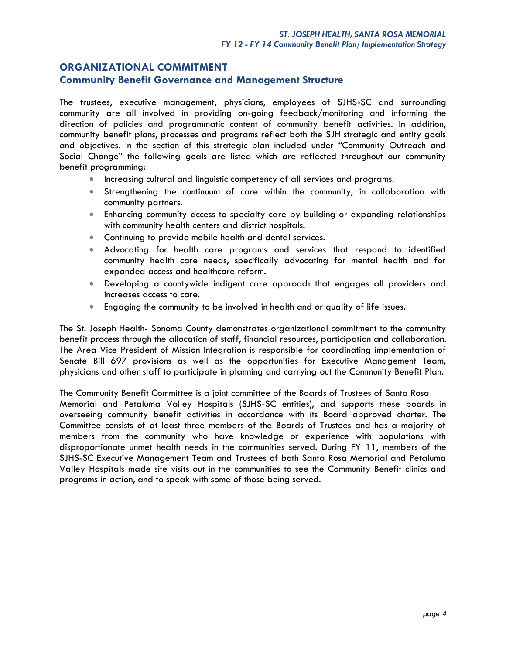# **ORGANIZATIONAL COMMITMENT**

### **Community Benefit Governance and Management Structure**

The trustees, executive management, physicians, employees of SJHS-SC and surrounding community are all involved in providing on-going feedback/monitoring and informing the direction of policies and programmatic content of community benefit activities. In addition, community benefit plans, processes and programs reflect both the SJH strategic and entity goals and objectives. In the section of this strategic plan included under "Community Outreach and Social Change" the following goals are listed which are reflected throughout our community benefit programming:

- **Increasing cultural and linguistic competency of all services and programs.**
- Strengthening the continuum of care within the community, in collaboration with community partners.
- Enhancing community access to specialty care by building or expanding relationships with community health centers and district hospitals.
- **Continuing to provide mobile health and dental services.**
- Advocating for health care programs and services that respond to identified community health care needs, specifically advocating for mental health and for expanded access and healthcare reform.
- Developing a countywide indigent care approach that engages all providers and increases access to care.
- Engaging the community to be involved in health and or quality of life issues.

The St. Joseph Health- Sonoma County demonstrates organizational commitment to the community benefit process through the allocation of staff, financial resources, participation and collaboration. The Area Vice President of Mission Integration is responsible for coordinating implementation of Senate Bill 697 provisions as well as the opportunities for Executive Management Team, physicians and other staff to participate in planning and carrying out the Community Benefit Plan.

The Community Benefit Committee is a joint committee of the Boards of Trustees of Santa Rosa Memorial and Petaluma Valley Hospitals (SJHS-SC entities), and supports these boards in overseeing community benefit activities in accordance with its Board approved charter. The Committee consists of at least three members of the Boards of Trustees and has a majority of members from the community who have knowledge or experience with populations with disproportionate unmet health needs in the communities served. During FY 11, members of the SJHS-SC Executive Management Team and Trustees of both Santa Rosa Memorial and Petaluma Valley Hospitals made site visits out in the communities to see the Community Benefit clinics and programs in action, and to speak with some of those being served.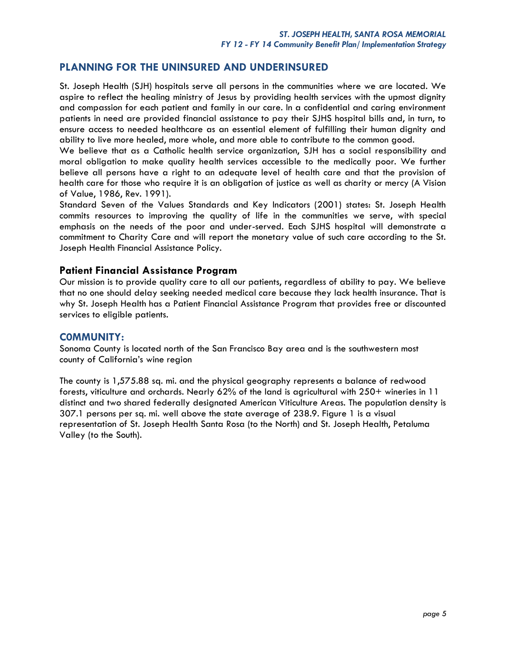# **PLANNING FOR THE UNINSURED AND UNDERINSURED**

St. Joseph Health (SJH) hospitals serve all persons in the communities where we are located. We aspire to reflect the healing ministry of Jesus by providing health services with the upmost dignity and compassion for each patient and family in our care. In a confidential and caring environment patients in need are provided financial assistance to pay their SJHS hospital bills and, in turn, to ensure access to needed healthcare as an essential element of fulfilling their human dignity and ability to live more healed, more whole, and more able to contribute to the common good.

We believe that as a Catholic health service organization, SJH has a social responsibility and moral obligation to make quality health services accessible to the medically poor. We further believe all persons have a right to an adequate level of health care and that the provision of health care for those who require it is an obligation of justice as well as charity or mercy (A Vision of Value, 1986, Rev. 1991).

Standard Seven of the Values Standards and Key Indicators (2001) states: St. Joseph Health commits resources to improving the quality of life in the communities we serve, with special emphasis on the needs of the poor and under-served. Each SJHS hospital will demonstrate a commitment to Charity Care and will report the monetary value of such care according to the St. Joseph Health Financial Assistance Policy.

### **Patient Financial Assistance Program**

Our mission is to provide quality care to all our patients, regardless of ability to pay. We believe that no one should delay seeking needed medical care because they lack health insurance. That is why St. Joseph Health has a Patient Financial Assistance Program that provides free or discounted services to eligible patients.

### **C0MMUNITY:**

Sonoma County is located north of the San Francisco Bay area and is the southwestern most county of California's wine region

The county is 1,575.88 sq. mi. and the physical geography represents a balance of redwood forests, viticulture and orchards. Nearly 62% of the land is agricultural with 250+ wineries in 11 distinct and two shared federally designated American Viticulture Areas. The population density is 307.1 persons per sq. mi. well above the state average of 238.9. Figure 1 is a visual representation of St. Joseph Health Santa Rosa (to the North) and St. Joseph Health, Petaluma Valley (to the South).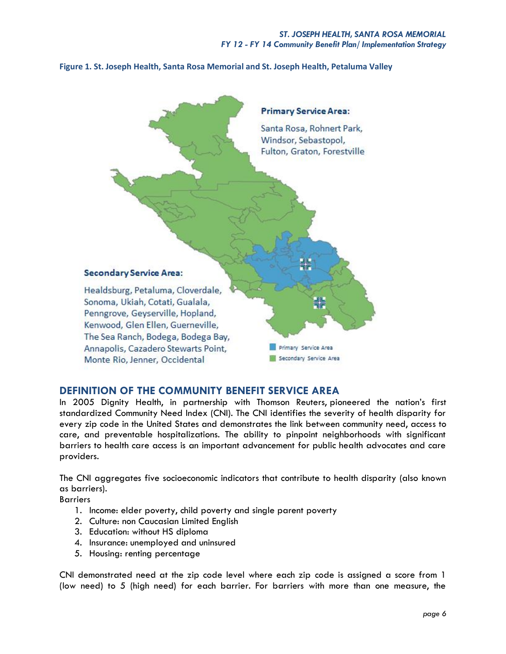**Figure 1. St. Joseph Health, Santa Rosa Memorial and St. Joseph Health, Petaluma Valley**



# **DEFINITION OF THE COMMUNITY BENEFIT SERVICE AREA**

In 2005 Dignity Health, in partnership with Thomson Reuters, pioneered the nation's first standardized Community Need Index (CNI). The CNI identifies the severity of health disparity for every zip code in the United States and demonstrates the link between community need, access to care, and preventable hospitalizations. The ability to pinpoint neighborhoods with significant barriers to health care access is an important advancement for public health advocates and care providers.

The CNI aggregates five socioeconomic indicators that contribute to health disparity (also known as barriers).

Barriers

- 1. Income: elder poverty, child poverty and single parent poverty
- 2. Culture: non Caucasian Limited English
- 3. Education: without HS diploma
- 4. Insurance: unemployed and uninsured
- 5. Housing: renting percentage

CNI demonstrated need at the zip code level where each zip code is assigned a score from 1 (low need) to 5 (high need) for each barrier. For barriers with more than one measure, the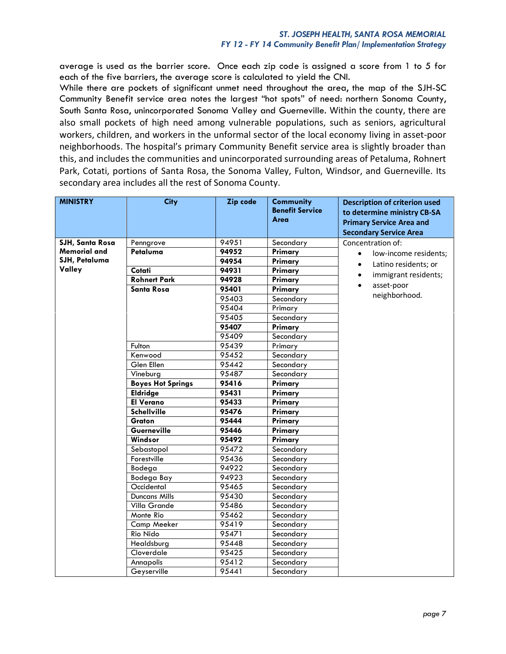average is used as the barrier score. Once each zip code is assigned a score from 1 to 5 for each of the five barriers, the average score is calculated to yield the CNI.

While there are pockets of significant unmet need throughout the area, the map of the SJH-SC Community Benefit service area notes the largest "hot spots" of need: northern Sonoma County, South Santa Rosa, unincorporated Sonoma Valley and Guerneville. Within the county, there are also small pockets of high need among vulnerable populations, such as seniors, agricultural workers, children, and workers in the unformal sector of the local economy living in asset-poor neighborhoods. The hospital's primary Community Benefit service area is slightly broader than this, and includes the communities and unincorporated surrounding areas of Petaluma, Rohnert Park, Cotati, portions of Santa Rosa, the Sonoma Valley, Fulton, Windsor, and Guerneville. Its secondary area includes all the rest of Sonoma County.

| <b>MINISTRY</b>     | <b>City</b>              | Zip code | <b>Community</b><br><b>Benefit Service</b> | <b>Description of criterion used</b><br>to determine ministry CB-SA |
|---------------------|--------------------------|----------|--------------------------------------------|---------------------------------------------------------------------|
|                     |                          |          | Area                                       | <b>Primary Service Area and</b>                                     |
|                     |                          |          |                                            | <b>Secondary Service Area</b>                                       |
| SJH, Santa Rosa     | Penngrove                | 94951    | Secondary                                  | Concentration of:                                                   |
| <b>Memorial and</b> | Petaluma                 | 94952    | Primary                                    | low-income residents;                                               |
| SJH, Petaluma       |                          | 94954    | Primary                                    | Latino residents; or                                                |
| Valley              | Cotati                   | 94931    | Primary                                    |                                                                     |
|                     | <b>Rohnert Park</b>      | 94928    | Primary                                    | immigrant residents;                                                |
|                     | <b>Santa Rosa</b>        | 95401    | Primary                                    | asset-poor                                                          |
|                     |                          | 95403    | Secondary                                  | neighborhood.                                                       |
|                     |                          | 95404    | Primary                                    |                                                                     |
|                     |                          | 95405    | Secondary                                  |                                                                     |
|                     |                          | 95407    | Primary                                    |                                                                     |
|                     |                          | 95409    | Secondary                                  |                                                                     |
|                     | Fulton                   | 95439    | Primary                                    |                                                                     |
|                     | Kenwood                  | 95452    | Secondary                                  |                                                                     |
|                     | Glen Ellen               | 95442    | Secondary                                  |                                                                     |
|                     | Vineburg                 | 95487    | Secondary                                  |                                                                     |
|                     | <b>Boyes Hot Springs</b> | 95416    | Primary                                    |                                                                     |
|                     | <b>Eldridge</b>          | 95431    | Primary                                    |                                                                     |
|                     | <b>El Verano</b>         | 95433    | Primary                                    |                                                                     |
|                     | <b>Schellville</b>       | 95476    | Primary                                    |                                                                     |
|                     | Graton                   | 95444    | Primary                                    |                                                                     |
|                     | Guerneville              | 95446    | Primary                                    |                                                                     |
|                     | Windsor                  | 95492    | Primary                                    |                                                                     |
|                     | Sebastopol               | 95472    | Secondary                                  |                                                                     |
|                     | Forestville              | 95436    | Secondary                                  |                                                                     |
|                     | Bodega                   | 94922    | Secondary                                  |                                                                     |
|                     | Bodega Bay               | 94923    | Secondary                                  |                                                                     |
|                     | Occidental               | 95465    | Secondary                                  |                                                                     |
|                     | <b>Duncans Mills</b>     | 95430    | Secondary                                  |                                                                     |
|                     | Villa Grande             | 95486    | Secondary                                  |                                                                     |
|                     | Monte Rio                | 95462    | Secondary                                  |                                                                     |
|                     | Camp Meeker              | 95419    | Secondary                                  |                                                                     |
|                     | Rio Nido                 | 95471    | Secondary                                  |                                                                     |
|                     | Healdsburg               | 95448    | Secondary                                  |                                                                     |
|                     | Cloverdale               | 95425    | Secondary                                  |                                                                     |
|                     | Annapolis                | 95412    | Secondary                                  |                                                                     |
|                     | Geyserville              | 95441    | Secondary                                  |                                                                     |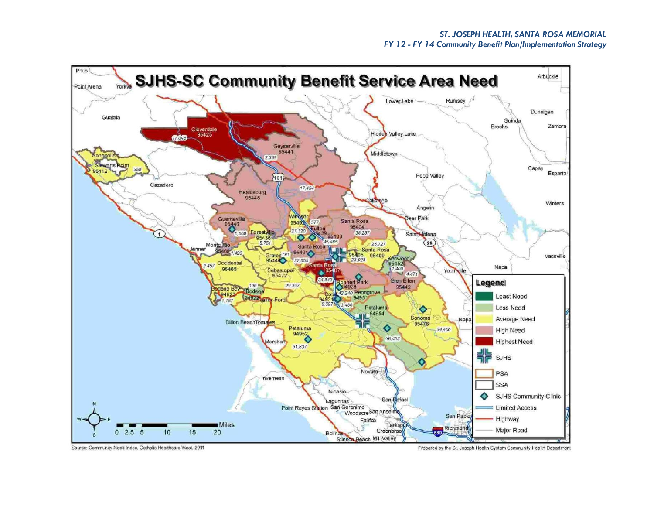

Source: Community Need Index, Catholic Healthcare West, 2011

Prepared by the St. Joseph Health System Community Health Department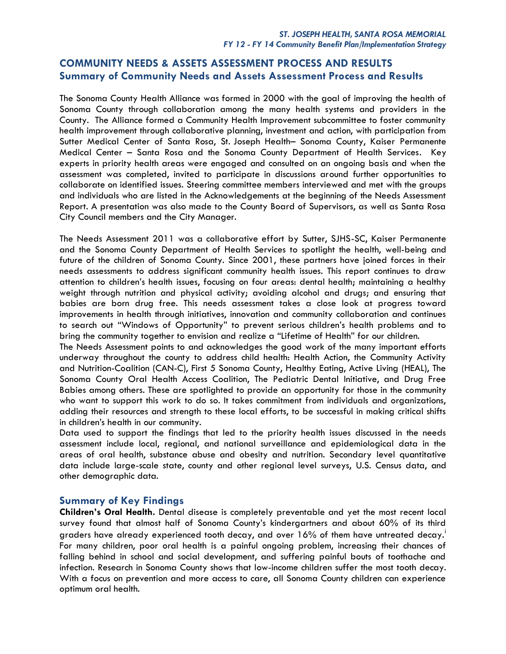# **COMMUNITY NEEDS & ASSETS ASSESSMENT PROCESS AND RESULTS Summary of Community Needs and Assets Assessment Process and Results**

The Sonoma County Health Alliance was formed in 2000 with the goal of improving the health of Sonoma County through collaboration among the many health systems and providers in the County. The Alliance formed a Community Health Improvement subcommittee to foster community health improvement through collaborative planning, investment and action, with participation from Sutter Medical Center of Santa Rosa, St. Joseph Health– Sonoma County, Kaiser Permanente Medical Center – Santa Rosa and the Sonoma County Department of Health Services. Key experts in priority health areas were engaged and consulted on an ongoing basis and when the assessment was completed, invited to participate in discussions around further opportunities to collaborate on identified issues. Steering committee members interviewed and met with the groups and individuals who are listed in the Acknowledgements at the beginning of the Needs Assessment Report. A presentation was also made to the County Board of Supervisors, as well as Santa Rosa City Council members and the City Manager.

The Needs Assessment 2011 was a collaborative effort by Sutter, SJHS-SC, Kaiser Permanente and the Sonoma County Department of Health Services to spotlight the health, well-being and future of the children of Sonoma County. Since 2001, these partners have joined forces in their needs assessments to address significant community health issues. This report continues to draw attention to children's health issues, focusing on four areas: dental health; maintaining a healthy weight through nutrition and physical activity; avoiding alcohol and drugs; and ensuring that babies are born drug free. This needs assessment takes a close look at progress toward improvements in health through initiatives, innovation and community collaboration and continues to search out "Windows of Opportunity" to prevent serious children's health problems and to bring the community together to envision and realize a "Lifetime of Health" for our children.

The Needs Assessment points to and acknowledges the good work of the many important efforts underway throughout the county to address child health: Health Action, the Community Activity and Nutrition-Coalition (CAN-C), First 5 Sonoma County, Healthy Eating, Active Living (HEAL), The Sonoma County Oral Health Access Coalition, The Pediatric Dental Initiative, and Drug Free Babies among others. These are spotlighted to provide an opportunity for those in the community who want to support this work to do so. It takes commitment from individuals and organizations, adding their resources and strength to these local efforts, to be successful in making critical shifts in children's health in our community.

Data used to support the findings that led to the priority health issues discussed in the needs assessment include local, regional, and national surveillance and epidemiological data in the areas of oral health, substance abuse and obesity and nutrition. Secondary level quantitative data include large-scale state, county and other regional level surveys, U.S. Census data, and other demographic data.

### **Summary of Key Findings**

**Children's Oral Health.** Dental disease is completely preventable and yet the most recent local survey found that almost half of Sonoma County's kindergartners and about 60% of its third graders have already experienced tooth decay, and over 16% of them have untreated decay. For many children, poor oral health is a painful ongoing problem, increasing their chances of falling behind in school and social development, and suffering painful bouts of toothache and infection. Research in Sonoma County shows that low-income children suffer the most tooth decay. With a focus on prevention and more access to care, all Sonoma County children can experience optimum oral health.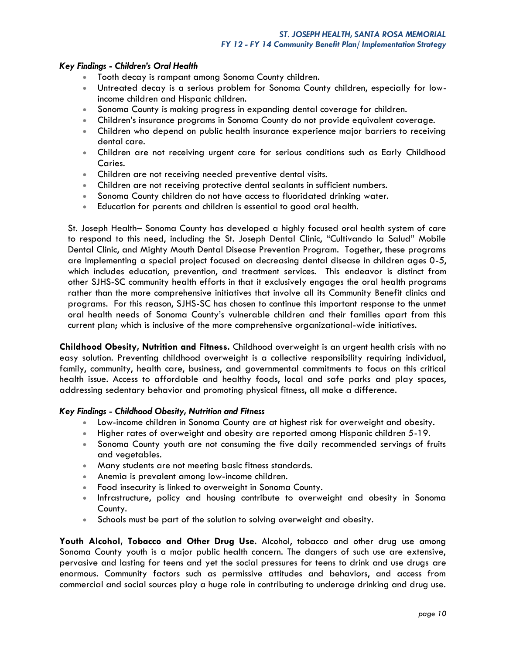### *Key Findings - Children's Oral Health*

- Tooth decay is rampant among Sonoma County children.
- Untreated decay is a serious problem for Sonoma County children, especially for lowincome children and Hispanic children.
- Sonoma County is making progress in expanding dental coverage for children.
- Children's insurance programs in Sonoma County do not provide equivalent coverage.
- Children who depend on public health insurance experience major barriers to receiving dental care.
- Children are not receiving urgent care for serious conditions such as Early Childhood Caries.
- Children are not receiving needed preventive dental visits.
- Children are not receiving protective dental sealants in sufficient numbers.
- Sonoma County children do not have access to fluoridated drinking water.
- Education for parents and children is essential to good oral health.

St. Joseph Health– Sonoma County has developed a highly focused oral health system of care to respond to this need, including the St. Joseph Dental Clinic, "Cultivando la Salud" Mobile Dental Clinic, and Mighty Mouth Dental Disease Prevention Program. Together, these programs are implementing a special project focused on decreasing dental disease in children ages 0-5, which includes education, prevention, and treatment services. This endeavor is distinct from other SJHS-SC community health efforts in that it exclusively engages the oral health programs rather than the more comprehensive initiatives that involve all its Community Benefit clinics and programs. For this reason, SJHS-SC has chosen to continue this important response to the unmet oral health needs of Sonoma County's vulnerable children and their families apart from this current plan; which is inclusive of the more comprehensive organizational-wide initiatives.

**Childhood Obesity, Nutrition and Fitness.** Childhood overweight is an urgent health crisis with no easy solution. Preventing childhood overweight is a collective responsibility requiring individual, family, community, health care, business, and governmental commitments to focus on this critical health issue. Access to affordable and healthy foods, local and safe parks and play spaces, addressing sedentary behavior and promoting physical fitness, all make a difference.

### *Key Findings - Childhood Obesity, Nutrition and Fitness*

- Low-income children in Sonoma County are at highest risk for overweight and obesity.
- Higher rates of overweight and obesity are reported among Hispanic children 5-19.
- Sonoma County youth are not consuming the five daily recommended servings of fruits and vegetables.
- Many students are not meeting basic fitness standards.
- Anemia is prevalent among low-income children.
- Food insecurity is linked to overweight in Sonoma County.
- Infrastructure, policy and housing contribute to overweight and obesity in Sonoma County.
- Schools must be part of the solution to solving overweight and obesity.

**Youth Alcohol, Tobacco and Other Drug Use.** Alcohol, tobacco and other drug use among Sonoma County youth is a major public health concern. The dangers of such use are extensive, pervasive and lasting for teens and yet the social pressures for teens to drink and use drugs are enormous. Community factors such as permissive attitudes and behaviors, and access from commercial and social sources play a huge role in contributing to underage drinking and drug use.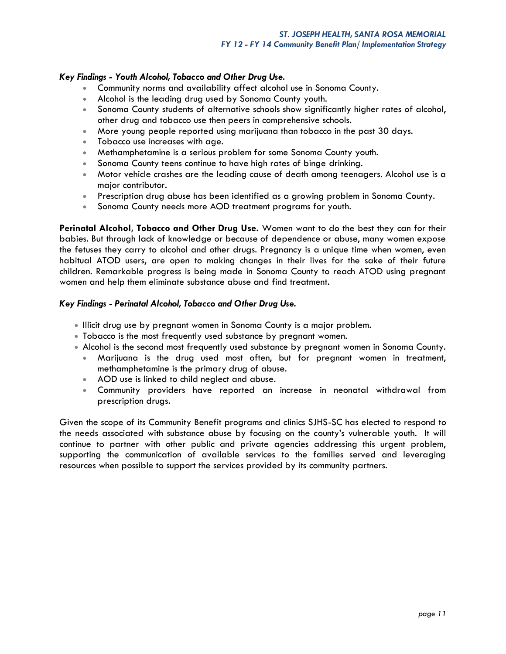### *Key Findings - Youth Alcohol, Tobacco and Other Drug Use.*

- Community norms and availability affect alcohol use in Sonoma County.
- Alcohol is the leading drug used by Sonoma County youth.
- Sonoma County students of alternative schools show significantly higher rates of alcohol, other drug and tobacco use then peers in comprehensive schools.
- More young people reported using marijuana than tobacco in the past 30 days.
- Tobacco use increases with age.
- Methamphetamine is a serious problem for some Sonoma County youth.
- Sonoma County teens continue to have high rates of binge drinking.
- Motor vehicle crashes are the leading cause of death among teenagers. Alcohol use is a major contributor.
- Prescription drug abuse has been identified as a growing problem in Sonoma County.
- Sonoma County needs more AOD treatment programs for youth.

**Perinatal Alcohol, Tobacco and Other Drug Use.** Women want to do the best they can for their babies. But through lack of knowledge or because of dependence or abuse, many women expose the fetuses they carry to alcohol and other drugs. Pregnancy is a unique time when women, even habitual ATOD users, are open to making changes in their lives for the sake of their future children. Remarkable progress is being made in Sonoma County to reach ATOD using pregnant women and help them eliminate substance abuse and find treatment.

### *Key Findings - Perinatal Alcohol, Tobacco and Other Drug Use.*

- Illicit drug use by pregnant women in Sonoma County is a major problem.
- Tobacco is the most frequently used substance by pregnant women.
- Alcohol is the second most frequently used substance by pregnant women in Sonoma County.
	- Marijuana is the drug used most often, but for pregnant women in treatment, methamphetamine is the primary drug of abuse.
	- AOD use is linked to child neglect and abuse.
	- Community providers have reported an increase in neonatal withdrawal from prescription drugs.

Given the scope of its Community Benefit programs and clinics SJHS-SC has elected to respond to the needs associated with substance abuse by focusing on the county's vulnerable youth. It will continue to partner with other public and private agencies addressing this urgent problem, supporting the communication of available services to the families served and leveraging resources when possible to support the services provided by its community partners.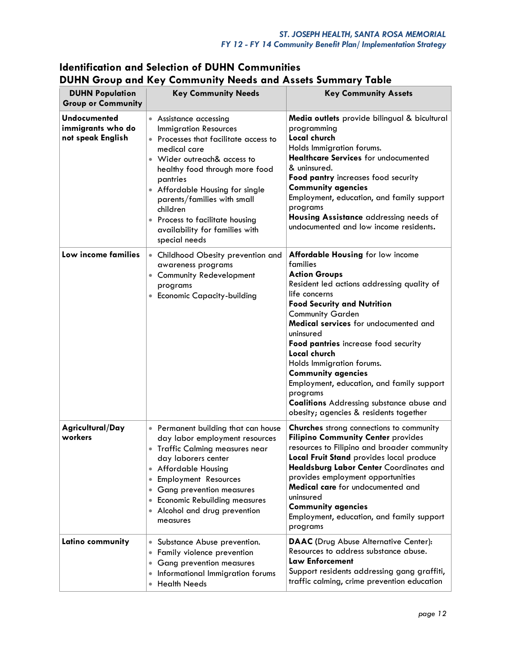# **Identification and Selection of DUHN Communities DUHN Group and Key Community Needs and Assets Summary Table**

| <b>DUHN Population</b><br><b>Group or Community</b>    | <b>Key Community Needs</b>                                                                                                                                                                                                                                                                                                                                   | <b>Key Community Assets</b>                                                                                                                                                                                                                                                                                                                                                                                                                                                                                                                 |
|--------------------------------------------------------|--------------------------------------------------------------------------------------------------------------------------------------------------------------------------------------------------------------------------------------------------------------------------------------------------------------------------------------------------------------|---------------------------------------------------------------------------------------------------------------------------------------------------------------------------------------------------------------------------------------------------------------------------------------------------------------------------------------------------------------------------------------------------------------------------------------------------------------------------------------------------------------------------------------------|
| Undocumented<br>immigrants who do<br>not speak English | • Assistance accessing<br><b>Immigration Resources</b><br>• Processes that facilitate access to<br>medical care<br>Wider outreach& access to<br>healthy food through more food<br>pantries<br>• Affordable Housing for single<br>parents/families with small<br>children<br>Process to facilitate housing<br>availability for families with<br>special needs | Media outlets provide bilingual & bicultural<br>programming<br>Local church<br>Holds Immigration forums.<br>Healthcare Services for undocumented<br>& uninsured.<br>Food pantry increases food security<br><b>Community agencies</b><br>Employment, education, and family support<br>programs<br>Housing Assistance addressing needs of<br>undocumented and low income residents.                                                                                                                                                           |
| Low income families                                    | • Childhood Obesity prevention and<br>awareness programs<br>• Community Redevelopment<br>programs<br>• Economic Capacity-building                                                                                                                                                                                                                            | <b>Affordable Housing for low income</b><br>families<br><b>Action Groups</b><br>Resident led actions addressing quality of<br>life concerns<br><b>Food Security and Nutrition</b><br><b>Community Garden</b><br>Medical services for undocumented and<br>uninsured<br>Food pantries increase food security<br>Local church<br>Holds Immigration forums.<br><b>Community agencies</b><br>Employment, education, and family support<br>programs<br><b>Coalitions</b> Addressing substance abuse and<br>obesity; agencies & residents together |
| Agricultural/Day<br>workers                            | • Permanent building that can house<br>day labor employment resources<br>• Traffic Calming measures near<br>day laborers center<br>• Affordable Housing<br>Employment Resources<br>$\bullet$<br><b>Gang prevention measures</b><br>$\bullet$<br><b>Economic Rebuilding measures</b><br>$\bullet$<br>• Alcohol and drug prevention<br>measures                | <b>Churches</b> strong connections to community<br>Filipino Community Center provides<br>resources to Filipino and broader community<br>Local Fruit Stand provides local produce<br>Healdsburg Labor Center Coordinates and<br>provides employment opportunities<br><b>Medical care</b> for undocumented and<br>uninsured<br><b>Community agencies</b><br>Employment, education, and family support<br>programs                                                                                                                             |
| Latino community                                       | Substance Abuse prevention.<br>$\bullet$<br>Family violence prevention<br><b>Gang prevention measures</b><br>$\bullet$<br>Informational Immigration forums<br><b>Health Needs</b>                                                                                                                                                                            | <b>DAAC</b> (Drug Abuse Alternative Center):<br>Resources to address substance abuse.<br><b>Law Enforcement</b><br>Support residents addressing gang graffiti,<br>traffic calming, crime prevention education                                                                                                                                                                                                                                                                                                                               |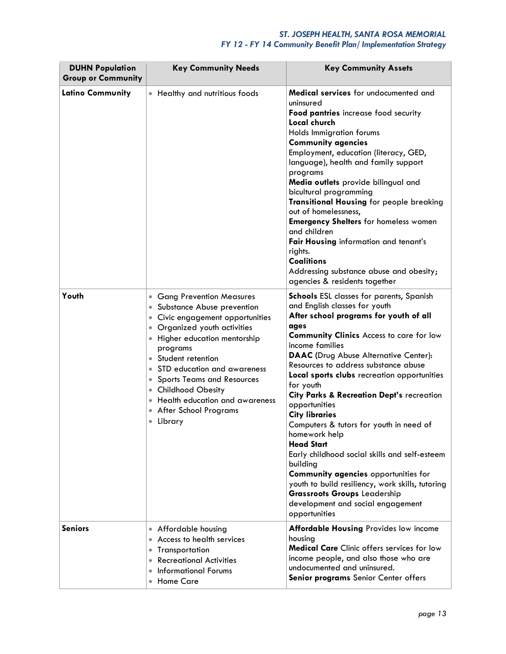### *ST. JOSEPH HEALTH, SANTA ROSA MEMORIAL FY 12 - FY 14 Community Benefit Plan/ Implementation Strategy*

| <b>DUHN Population</b><br><b>Group or Community</b> | <b>Key Community Needs</b>                                                                                                                                                                                                                                                                                                                                                                                                                                            | <b>Key Community Assets</b>                                                                                                                                                                                                                                                                                                                                                                                                                                                                                                                                                                                                                                                                                                                                                                |
|-----------------------------------------------------|-----------------------------------------------------------------------------------------------------------------------------------------------------------------------------------------------------------------------------------------------------------------------------------------------------------------------------------------------------------------------------------------------------------------------------------------------------------------------|--------------------------------------------------------------------------------------------------------------------------------------------------------------------------------------------------------------------------------------------------------------------------------------------------------------------------------------------------------------------------------------------------------------------------------------------------------------------------------------------------------------------------------------------------------------------------------------------------------------------------------------------------------------------------------------------------------------------------------------------------------------------------------------------|
| <b>Latino Community</b>                             | Healthy and nutritious foods<br>$\bullet$                                                                                                                                                                                                                                                                                                                                                                                                                             | <b>Medical services</b> for undocumented and<br>uninsured<br>Food pantries increase food security<br>Local church<br>Holds Immigration forums<br><b>Community agencies</b><br>Employment, education (literacy, GED,<br>language), health and family support<br>programs<br>Media outlets provide bilingual and<br>bicultural programming<br>Transitional Housing for people breaking<br>out of homelessness,<br><b>Emergency Shelters</b> for homeless women<br>and children<br>Fair Housing information and tenant's<br>rights.<br><b>Coalitions</b><br>Addressing substance abuse and obesity;<br>agencies & residents together                                                                                                                                                          |
| Youth                                               | <b>Gang Prevention Measures</b><br>$\bullet$<br>Substance Abuse prevention<br>$\bullet$<br>Civic engagement opportunities<br>Organized youth activities<br>Higher education mentorship<br>programs<br>Student retention<br>STD education and awareness<br>$\bullet$<br><b>Sports Teams and Resources</b><br>$\bullet$<br><b>Childhood Obesity</b><br>$\bullet$<br>Health education and awareness<br><b>After School Programs</b><br>$\bullet$<br>Library<br>$\bullet$ | <b>Schools</b> ESL classes for parents, Spanish<br>and English classes for youth<br>After school programs for youth of all<br>ages<br><b>Community Clinics</b> Access to care for low<br>income families<br><b>DAAC</b> (Drug Abuse Alternative Center):<br>Resources to address substance abuse<br>Local sports clubs recreation opportunities<br>for youth<br>City Parks & Recreation Dept's recreation<br>opportunities<br><b>City libraries</b><br>Computers & tutors for youth in need of<br>homework help<br><b>Head Start</b><br>Early childhood social skills and self-esteem<br>building<br>Community agencies opportunities for<br>youth to build resiliency, work skills, tutoring<br><b>Grassroots Groups Leadership</b><br>development and social engagement<br>opportunities |
| <b>Seniors</b>                                      | • Affordable housing<br>Access to health services<br>$\bullet$<br>Transportation<br>$\bullet$<br><b>Recreational Activities</b><br>$\bullet$<br><b>Informational Forums</b><br>$\bullet$<br><b>Home Care</b>                                                                                                                                                                                                                                                          | Affordable Housing Provides low income<br>housing<br><b>Medical Care</b> Clinic offers services for low<br>income people, and also those who are<br>undocumented and uninsured.<br>Senior programs Senior Center offers                                                                                                                                                                                                                                                                                                                                                                                                                                                                                                                                                                    |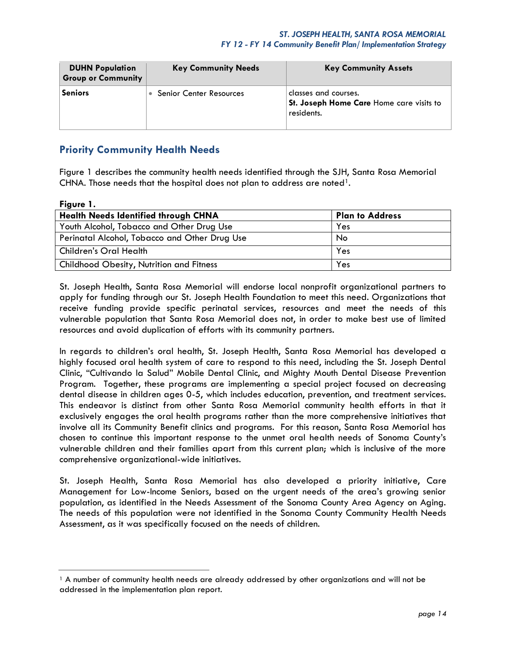| <b>DUHN Population</b><br><b>Group or Community</b> | <b>Key Community Needs</b>     | <b>Key Community Assets</b>                                                    |
|-----------------------------------------------------|--------------------------------|--------------------------------------------------------------------------------|
| <b>Seniors</b>                                      | <b>Senior Center Resources</b> | classes and courses.<br>St. Joseph Home Care Home care visits to<br>residents. |

# **Priority Community Health Needs**

Figure 1 describes the community health needs identified through the SJH, Santa Rosa Memorial CHNA. Those needs that the hospital does not plan to address are noted<sup>1</sup>.

### **Figure 1.**

| <b>Plan to Address</b> |
|------------------------|
| Yes                    |
| No                     |
| Yes                    |
| Yes                    |
|                        |

St. Joseph Health, Santa Rosa Memorial will endorse local nonprofit organizational partners to apply for funding through our St. Joseph Health Foundation to meet this need. Organizations that receive funding provide specific perinatal services, resources and meet the needs of this vulnerable population that Santa Rosa Memorial does not, in order to make best use of limited resources and avoid duplication of efforts with its community partners.

In regards to children's oral health, St. Joseph Health, Santa Rosa Memorial has developed a highly focused oral health system of care to respond to this need, including the St. Joseph Dental Clinic, "Cultivando la Salud" Mobile Dental Clinic, and Mighty Mouth Dental Disease Prevention Program. Together, these programs are implementing a special project focused on decreasing dental disease in children ages 0-5, which includes education, prevention, and treatment services. This endeavor is distinct from other Santa Rosa Memorial community health efforts in that it exclusively engages the oral health programs rather than the more comprehensive initiatives that involve all its Community Benefit clinics and programs. For this reason, Santa Rosa Memorial has chosen to continue this important response to the unmet oral health needs of Sonoma County's vulnerable children and their families apart from this current plan; which is inclusive of the more comprehensive organizational-wide initiatives.

St. Joseph Health, Santa Rosa Memorial has also developed a priority initiative, Care Management for Low-Income Seniors, based on the urgent needs of the area's growing senior population, as identified in the Needs Assessment of the Sonoma County Area Agency on Aging. The needs of this population were not identified in the Sonoma County Community Health Needs Assessment, as it was specifically focused on the needs of children.

<sup>&</sup>lt;sup>1</sup> A number of community health needs are already addressed by other organizations and will not be addressed in the implementation plan report.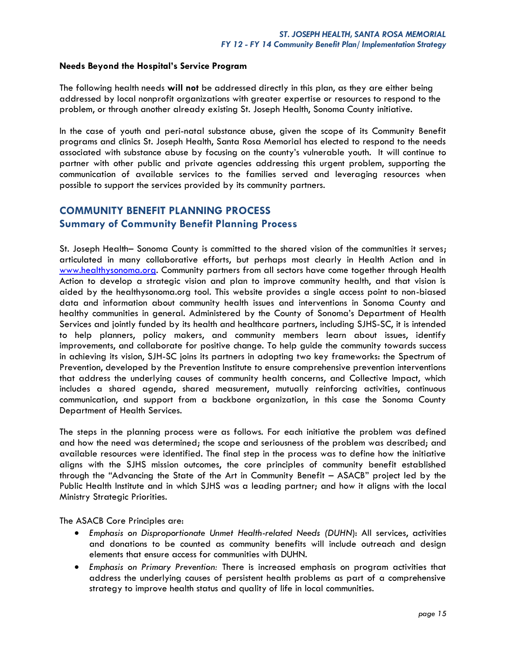### **Needs Beyond the Hospital's Service Program**

The following health needs **will not** be addressed directly in this plan, as they are either being addressed by local nonprofit organizations with greater expertise or resources to respond to the problem, or through another already existing St. Joseph Health, Sonoma County initiative.

In the case of youth and peri-natal substance abuse, given the scope of its Community Benefit programs and clinics St. Joseph Health, Santa Rosa Memorial has elected to respond to the needs associated with substance abuse by focusing on the county's vulnerable youth. It will continue to partner with other public and private agencies addressing this urgent problem, supporting the communication of available services to the families served and leveraging resources when possible to support the services provided by its community partners.

# **COMMUNITY BENEFIT PLANNING PROCESS Summary of Community Benefit Planning Process**

St. Joseph Health– Sonoma County is committed to the shared vision of the communities it serves; articulated in many collaborative efforts, but perhaps most clearly in Health Action and in [www.healthysonoma.org.](http://www.healthysonoma.org/) Community partners from all sectors have come together through Health Action to develop a strategic vision and plan to improve community health, and that vision is aided by the healthysonoma.org tool. This website provides a single access point to non-biased data and information about community health issues and interventions in Sonoma County and healthy communities in general. Administered by the County of Sonoma's Department of Health Services and jointly funded by its health and healthcare partners, including SJHS-SC, it is intended to help planners, policy makers, and community members learn about issues, identify improvements, and collaborate for positive change. To help guide the community towards success in achieving its vision, SJH-SC joins its partners in adopting two key frameworks: the Spectrum of Prevention, developed by the Prevention Institute to ensure comprehensive prevention interventions that address the underlying causes of community health concerns, and Collective Impact, which includes a shared agenda, shared measurement, mutually reinforcing activities, continuous communication, and support from a backbone organization, in this case the Sonoma County Department of Health Services.

The steps in the planning process were as follows. For each initiative the problem was defined and how the need was determined; the scope and seriousness of the problem was described; and available resources were identified. The final step in the process was to define how the initiative aligns with the SJHS mission outcomes, the core principles of community benefit established through the "Advancing the State of the Art in Community Benefit – ASACB" project led by the Public Health Institute and in which SJHS was a leading partner; and how it aligns with the local Ministry Strategic Priorities.

The ASACB Core Principles are:

- *Emphasis on Disproportionate Unmet Health-related Needs (DUHN*): All services, activities and donations to be counted as community benefits will include outreach and design elements that ensure access for communities with DUHN.
- *Emphasis on Primary Prevention:* There is increased emphasis on program activities that address the underlying causes of persistent health problems as part of a comprehensive strategy to improve health status and quality of life in local communities.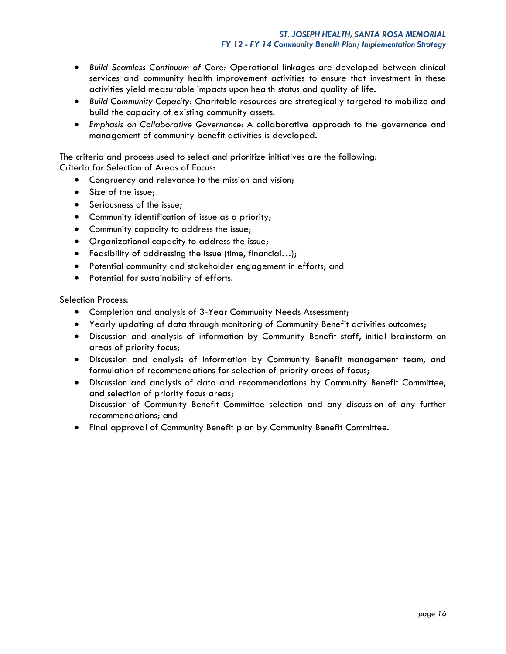- *Build Seamless Continuum of Care:* Operational linkages are developed between clinical services and community health improvement activities to ensure that investment in these activities yield measurable impacts upon health status and quality of life.
- *Build Community Capacity:* Charitable resources are strategically targeted to mobilize and build the capacity of existing community assets.
- *Emphasis on Collaborative Governance*: A collaborative approach to the governance and management of community benefit activities is developed.

The criteria and process used to select and prioritize initiatives are the following: Criteria for Selection of Areas of Focus:

- Congruency and relevance to the mission and vision;
- Size of the issue:
- **Seriousness of the issue;**
- Community identification of issue as a priority;
- Community capacity to address the issue;
- Organizational capacity to address the issue;
- Feasibility of addressing the issue (time, financial…);
- Potential community and stakeholder engagement in efforts; and
- Potential for sustainability of efforts.

Selection Process:

- Completion and analysis of 3-Year Community Needs Assessment;
- Yearly updating of data through monitoring of Community Benefit activities outcomes;
- Discussion and analysis of information by Community Benefit staff, initial brainstorm on areas of priority focus;
- Discussion and analysis of information by Community Benefit management team, and formulation of recommendations for selection of priority areas of focus;
- Discussion and analysis of data and recommendations by Community Benefit Committee, and selection of priority focus areas; Discussion of Community Benefit Committee selection and any discussion of any further recommendations; and
- Final approval of Community Benefit plan by Community Benefit Committee.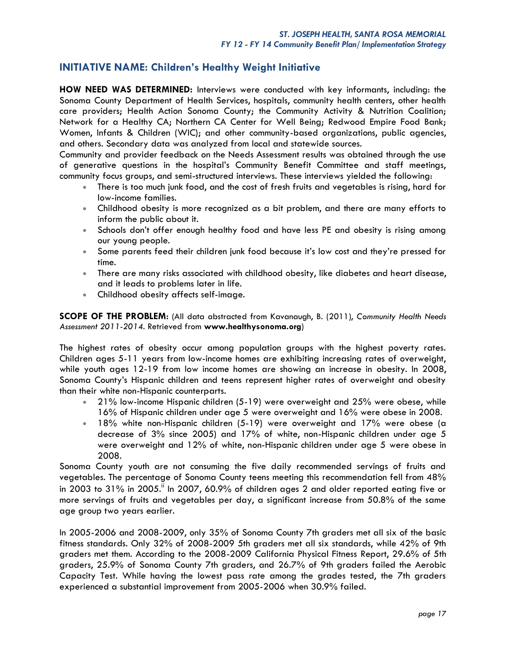# **INITIATIVE NAME: Children's Healthy Weight Initiative**

**HOW NEED WAS DETERMINED:** Interviews were conducted with key informants, including: the Sonoma County Department of Health Services, hospitals, community health centers, other health care providers; Health Action Sonoma County; the Community Activity & Nutrition Coalition; Network for a Healthy CA; Northern CA Center for Well Being; Redwood Empire Food Bank; Women, Infants & Children (WIC); and other community-based organizations, public agencies, and others. Secondary data was analyzed from local and statewide sources.

Community and provider feedback on the Needs Assessment results was obtained through the use of generative questions in the hospital's Community Benefit Committee and staff meetings, community focus groups, and semi-structured interviews. These interviews yielded the following:

- There is too much junk food, and the cost of fresh fruits and vegetables is rising, hard for low-income families.
- Childhood obesity is more recognized as a bit problem, and there are many efforts to inform the public about it.
- Schools don't offer enough healthy food and have less PE and obesity is rising among our young people.
- Some parents feed their children junk food because it's low cost and they're pressed for time.
- There are many risks associated with childhood obesity, like diabetes and heart disease, and it leads to problems later in life.
- Childhood obesity affects self-image.

**SCOPE OF THE PROBLEM:** (All data abstracted from Kavanaugh, B. (2011), *Community Health Needs Assessment 2011-2014*. Retrieved from **[www.healthysonoma.org](http://www.healthysonoma.org/)**)

The highest rates of obesity occur among population groups with the highest poverty rates. Children ages 5-11 years from low-income homes are exhibiting increasing rates of overweight, while youth ages 12-19 from low income homes are showing an increase in obesity. In 2008, Sonoma County's Hispanic children and teens represent higher rates of overweight and obesity than their white non-Hispanic counterparts.

- 21% low-income Hispanic children (5-19) were overweight and 25% were obese, while 16% of Hispanic children under age 5 were overweight and 16% were obese in 2008.
- 18% white non-Hispanic children (5-19) were overweight and 17% were obese (a decrease of 3% since 2005) and 17% of white, non-Hispanic children under age 5 were overweight and 12% of white, non-Hispanic children under age 5 were obese in 2008.

Sonoma County youth are not consuming the five daily recommended servings of fruits and vegetables. The percentage of Sonoma County teens meeting this recommendation fell from 48% in 2003 to 31% in 2005." In 2007, 60.9% of children ages 2 and older reported eating five or more servings of fruits and vegetables per day, a significant increase from 50.8% of the same age group two years earlier.

In 2005-2006 and 2008-2009, only 35% of Sonoma County 7th graders met all six of the basic fitness standards. Only 32% of 2008-2009 5th graders met all six standards, while 42% of 9th graders met them. According to the 2008-2009 California Physical Fitness Report, 29.6% of 5th graders, 25.9% of Sonoma County 7th graders, and 26.7% of 9th graders failed the Aerobic Capacity Test. While having the lowest pass rate among the grades tested, the 7th graders experienced a substantial improvement from 2005-2006 when 30.9% failed.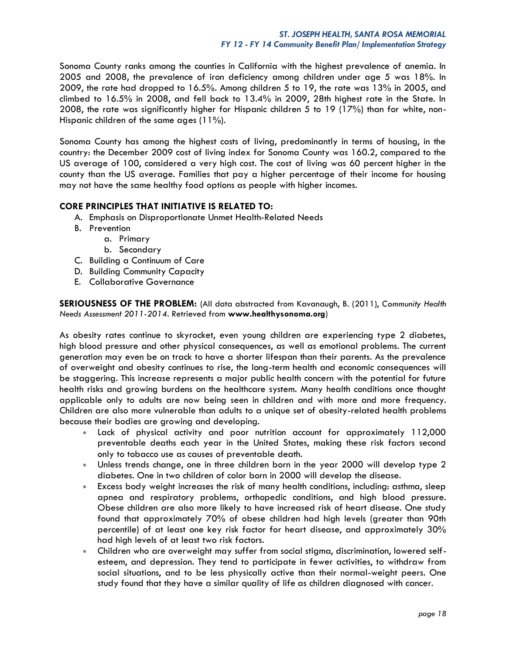Sonoma County ranks among the counties in California with the highest prevalence of anemia. In 2005 and 2008, the prevalence of iron deficiency among children under age 5 was 18%. In 2009, the rate had dropped to 16.5%. Among children 5 to 19, the rate was 13% in 2005, and climbed to 16.5% in 2008, and fell back to 13.4% in 2009, 28th highest rate in the State. In 2008, the rate was significantly higher for Hispanic children 5 to 19 (17%) than for white, non-Hispanic children of the same ages (11%).

Sonoma County has among the highest costs of living, predominantly in terms of housing, in the country: the December 2009 cost of living index for Sonoma County was 160.2, compared to the US average of 100, considered a very high cost. The cost of living was 60 percent higher in the county than the US average. Families that pay a higher percentage of their income for housing may not have the same healthy food options as people with higher incomes.

### **CORE PRINCIPLES THAT INITIATIVE IS RELATED TO:**

- A. Emphasis on Disproportionate Unmet Health-Related Needs
- B. Prevention
	- a. Primary
		- b. Secondary
- C. Building a Continuum of Care
- D. Building Community Capacity
- E. Collaborative Governance

**SERIOUSNESS OF THE PROBLEM:** (All data abstracted from Kavanaugh, B. (2011), *Community Health Needs Assessment 2011-2014*. Retrieved from **[www.healthysonoma.org](http://www.healthysonoma.org/)**)

As obesity rates continue to skyrocket, even young children are experiencing type 2 diabetes, high blood pressure and other physical consequences, as well as emotional problems. The current generation may even be on track to have a shorter lifespan than their parents. As the prevalence of overweight and obesity continues to rise, the long-term health and economic consequences will be staggering. This increase represents a major public health concern with the potential for future health risks and growing burdens on the healthcare system. Many health conditions once thought applicable only to adults are now being seen in children and with more and more frequency. Children are also more vulnerable than adults to a unique set of obesity-related health problems because their bodies are growing and developing.

- Lack of physical activity and poor nutrition account for approximately 112,000 preventable deaths each year in the United States, making these risk factors second only to tobacco use as causes of preventable death.
- Unless trends change, one in three children born in the year 2000 will develop type 2 diabetes. One in two children of color born in 2000 will develop the disease.
- Excess body weight increases the risk of many health conditions, including: asthma, sleep apnea and respiratory problems, orthopedic conditions, and high blood pressure. Obese children are also more likely to have increased risk of heart disease. One study found that approximately 70% of obese children had high levels (greater than 90th percentile) of at least one key risk factor for heart disease, and approximately 30% had high levels of at least two risk factors.
- Children who are overweight may suffer from social stigma, discrimination, lowered selfesteem, and depression. They tend to participate in fewer activities, to withdraw from social situations, and to be less physically active than their normal-weight peers. One study found that they have a similar quality of life as children diagnosed with cancer.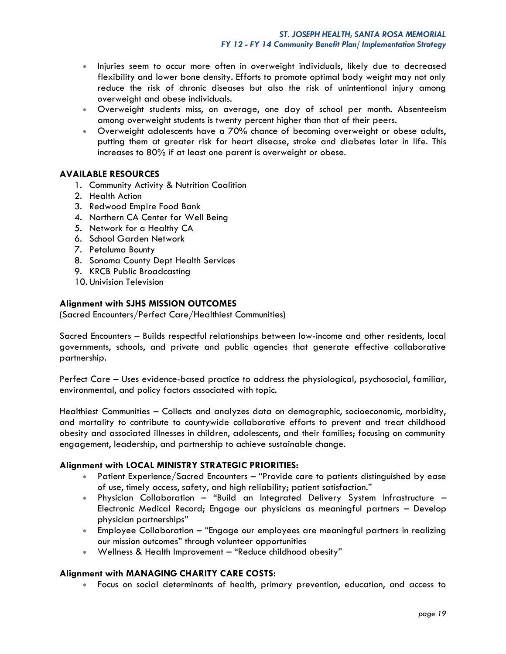- Injuries seem to occur more often in overweight individuals, likely due to decreased flexibility and lower bone density. Efforts to promote optimal body weight may not only reduce the risk of chronic diseases but also the risk of unintentional injury among overweight and obese individuals.
- Overweight students miss, on average, one day of school per month. Absenteeism among overweight students is twenty percent higher than that of their peers.
- Overweight adolescents have a 70% chance of becoming overweight or obese adults, putting them at greater risk for heart disease, stroke and diabetes later in life. This increases to 80% if at least one parent is overweight or obese.

### **AVAILABLE RESOURCES**

- 1. Community Activity & Nutrition Coalition
- 2. Health Action
- 3. Redwood Empire Food Bank
- 4. Northern CA Center for Well Being
- 5. Network for a Healthy CA
- 6. School Garden Network
- 7. Petaluma Bounty
- 8. Sonoma County Dept Health Services
- 9. KRCB Public Broadcasting
- 10. Univision Television

### **Alignment with SJHS MISSION OUTCOMES**

(Sacred Encounters/Perfect Care/Healthiest Communities)

Sacred Encounters – Builds respectful relationships between low-income and other residents, local governments, schools, and private and public agencies that generate effective collaborative partnership.

Perfect Care – Uses evidence-based practice to address the physiological, psychosocial, familiar, environmental, and policy factors associated with topic.

Healthiest Communities – Collects and analyzes data on demographic, socioeconomic, morbidity, and mortality to contribute to countywide collaborative efforts to prevent and treat childhood obesity and associated illnesses in children, adolescents, and their families; focusing on community engagement, leadership, and partnership to achieve sustainable change.

### **Alignment with LOCAL MINISTRY STRATEGIC PRIORITIES:**

- Patient Experience/Sacred Encounters "Provide care to patients distinguished by ease of use, timely access, safety, and high reliability; patient satisfaction."
- Physician Collaboration "Build an Integrated Delivery System Infrastructure Electronic Medical Record; Engage our physicians as meaningful partners – Develop physician partnerships"
- Employee Collaboration "Engage our employees are meaningful partners in realizing our mission outcomes" through volunteer opportunities
- Wellness & Health Improvement "Reduce childhood obesity"

### **Alignment with MANAGING CHARITY CARE COSTS:**

Focus on social determinants of health, primary prevention, education, and access to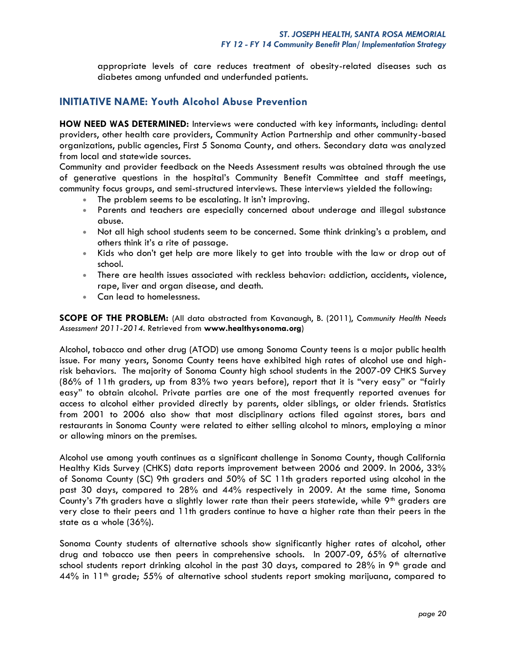appropriate levels of care reduces treatment of obesity-related diseases such as diabetes among unfunded and underfunded patients.

## **INITIATIVE NAME: Youth Alcohol Abuse Prevention**

**HOW NEED WAS DETERMINED:** Interviews were conducted with key informants, including: dental providers, other health care providers, Community Action Partnership and other community-based organizations, public agencies, First 5 Sonoma County, and others. Secondary data was analyzed from local and statewide sources.

Community and provider feedback on the Needs Assessment results was obtained through the use of generative questions in the hospital's Community Benefit Committee and staff meetings, community focus groups, and semi-structured interviews. These interviews yielded the following:

- The problem seems to be escalating. It isn't improving.
- Parents and teachers are especially concerned about underage and illegal substance abuse.
- Not all high school students seem to be concerned. Some think drinking's a problem, and others think it's a rite of passage.
- Kids who don't get help are more likely to get into trouble with the law or drop out of school.
- There are health issues associated with reckless behavior: addiction, accidents, violence, rape, liver and organ disease, and death.
- Can lead to homelessness.

**SCOPE OF THE PROBLEM:** (All data abstracted from Kavanaugh, B. (2011), *Community Health Needs Assessment 2011-2014*. Retrieved from **[www.healthysonoma.org](http://www.healthysonoma.org/)**)

Alcohol, tobacco and other drug (ATOD) use among Sonoma County teens is a major public health issue. For many years, Sonoma County teens have exhibited high rates of alcohol use and highrisk behaviors. The majority of Sonoma County high school students in the 2007-09 CHKS Survey (86% of 11th graders, up from 83% two years before), report that it is "very easy" or "fairly easy" to obtain alcohol. Private parties are one of the most frequently reported avenues for access to alcohol either provided directly by parents, older siblings, or older friends. Statistics from 2001 to 2006 also show that most disciplinary actions filed against stores, bars and restaurants in Sonoma County were related to either selling alcohol to minors, employing a minor or allowing minors on the premises.

Alcohol use among youth continues as a significant challenge in Sonoma County, though California Healthy Kids Survey (CHKS) data reports improvement between 2006 and 2009. In 2006, 33% of Sonoma County (SC) 9th graders and 50% of SC 11th graders reported using alcohol in the past 30 days, compared to 28% and 44% respectively in 2009. At the same time, Sonoma County's 7th graders have a slightly lower rate than their peers statewide, while 9<sup>th</sup> graders are very close to their peers and 11th graders continue to have a higher rate than their peers in the state as a whole (36%).

Sonoma County students of alternative schools show significantly higher rates of alcohol, other drug and tobacco use then peers in comprehensive schools. In 2007-09, 65% of alternative school students report drinking alcohol in the past 30 days, compared to  $28\%$  in 9<sup>th</sup> grade and  $44\%$  in 11<sup>th</sup> grade; 55% of alternative school students report smoking marijuana, compared to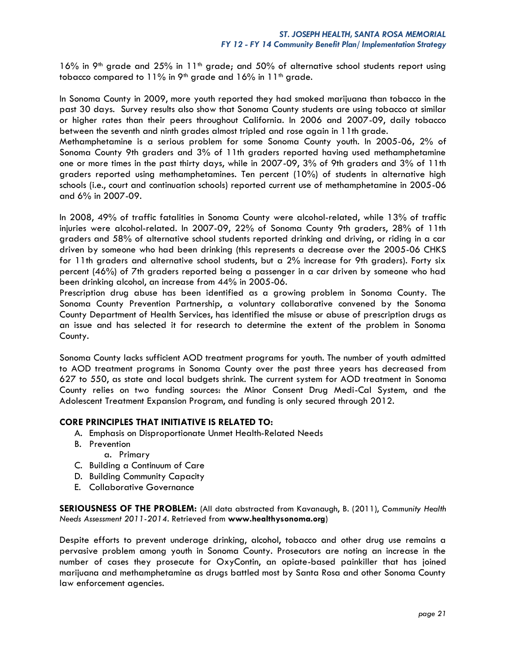16% in 9<sup>th</sup> grade and 25% in 11<sup>th</sup> grade; and 50% of alternative school students report using tobacco compared to  $11\%$  in 9<sup>th</sup> grade and  $16\%$  in  $11<sup>th</sup>$  grade.

In Sonoma County in 2009, more youth reported they had smoked marijuana than tobacco in the past 30 days. Survey results also show that Sonoma County students are using tobacco at similar or higher rates than their peers throughout California. In 2006 and 2007-09, daily tobacco between the seventh and ninth grades almost tripled and rose again in 11th grade.

Methamphetamine is a serious problem for some Sonoma County youth. In 2005-06**,** 2% of Sonoma County 9th graders and 3% of 11th graders reported having used methamphetamine one or more times in the past thirty days, while in 2007-09, 3% of 9th graders and 3% of 11th graders reported using methamphetamines. Ten percent (10%) of students in alternative high schools (i.e., court and continuation schools) reported current use of methamphetamine in 2005-06 and 6% in 2007-09.

In 2008, 49% of traffic fatalities in Sonoma County were alcohol-related, while 13% of traffic injuries were alcohol-related. In 2007-09, 22% of Sonoma County 9th graders, 28% of 11th graders and 58% of alternative school students reported drinking and driving, or riding in a car driven by someone who had been drinking (this represents a decrease over the 2005-06 CHKS for 11th graders and alternative school students, but a 2% increase for 9th graders). Forty six percent (46%) of 7th graders reported being a passenger in a car driven by someone who had been drinking alcohol, an increase from 44% in 2005-06.

Prescription drug abuse has been identified as a growing problem in Sonoma County. The Sonoma County Prevention Partnership, a voluntary collaborative convened by the Sonoma County Department of Health Services, has identified the misuse or abuse of prescription drugs as an issue and has selected it for research to determine the extent of the problem in Sonoma County.

Sonoma County lacks sufficient AOD treatment programs for youth. The number of youth admitted to AOD treatment programs in Sonoma County over the past three years has decreased from 627 to 550, as state and local budgets shrink. The current system for AOD treatment in Sonoma County relies on two funding sources: the Minor Consent Drug Medi-Cal System, and the Adolescent Treatment Expansion Program, and funding is only secured through 2012.

### **CORE PRINCIPLES THAT INITIATIVE IS RELATED TO:**

- A. Emphasis on Disproportionate Unmet Health-Related Needs
- B. Prevention
	- a. Primary
- C. Building a Continuum of Care
- D. Building Community Capacity
- E. Collaborative Governance

**SERIOUSNESS OF THE PROBLEM:** (All data abstracted from Kavanaugh, B. (2011), *Community Health Needs Assessment 2011-2014*. Retrieved from **[www.healthysonoma.org](http://www.healthysonoma.org/)**)

Despite efforts to prevent underage drinking, alcohol, tobacco and other drug use remains a pervasive problem among youth in Sonoma County. Prosecutors are noting an increase in the number of cases they prosecute for OxyContin, an opiate-based painkiller that has joined marijuana and methamphetamine as drugs battled most by Santa Rosa and other Sonoma County law enforcement agencies.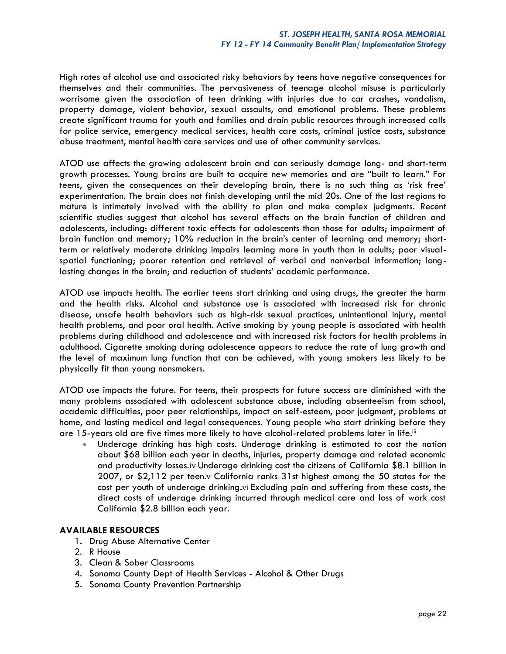High rates of alcohol use and associated risky behaviors by teens have negative consequences for themselves and their communities. The pervasiveness of teenage alcohol misuse is particularly worrisome given the association of teen drinking with injuries due to car crashes, vandalism, property damage, violent behavior, sexual assaults, and emotional problems. These problems create significant trauma for youth and families and drain public resources through increased calls for police service, emergency medical services, health care costs, criminal justice costs, substance abuse treatment, mental health care services and use of other community services.

ATOD use affects the growing adolescent brain and can seriously damage long- and short-term growth processes. Young brains are built to acquire new memories and are "built to learn." For teens, given the consequences on their developing brain, there is no such thing as 'risk free' experimentation. The brain does not finish developing until the mid 20s. One of the last regions to mature is intimately involved with the ability to plan and make complex judgments. Recent scientific studies suggest that alcohol has several effects on the brain function of children and adolescents, including: different toxic effects for adolescents than those for adults; impairment of brain function and memory; 10% reduction in the brain's center of learning and memory; shortterm or relatively moderate drinking impairs learning more in youth than in adults; poor visualspatial functioning; poorer retention and retrieval of verbal and nonverbal information; longlasting changes in the brain; and reduction of students' academic performance.

ATOD use impacts health. The earlier teens start drinking and using drugs, the greater the harm and the health risks. Alcohol and substance use is associated with increased risk for chronic disease, unsafe health behaviors such as high-risk sexual practices, unintentional injury, mental health problems, and poor oral health. Active smoking by young people is associated with health problems during childhood and adolescence and with increased risk factors for health problems in adulthood. Cigarette smoking during adolescence appears to reduce the rate of lung growth and the level of maximum lung function that can be achieved, with young smokers less likely to be physically fit than young nonsmokers.

ATOD use impacts the future. For teens, their prospects for future success are diminished with the many problems associated with adolescent substance abuse, including absenteeism from school, academic difficulties, poor peer relationships, impact on self-esteem, poor judgment, problems at home, and lasting medical and legal consequences. Young people who start drinking before they are 15-years old are five times more likely to have alcohol-related problems later in life.iii

 Underage drinking has high costs. Underage drinking is estimated to cost the nation about \$68 billion each year in deaths, injuries, property damage and related economic and productivity losses.iv Underage drinking cost the citizens of California \$8.1 billion in 2007, or \$2,112 per teen.v California ranks 31st highest among the 50 states for the cost per youth of underage drinking.vi Excluding pain and suffering from these costs, the direct costs of underage drinking incurred through medical care and loss of work cost California \$2.8 billion each year.

### **AVAILABLE RESOURCES**

- 1. Drug Abuse Alternative Center
- 2. R House
- 3. Clean & Sober Classrooms
- 4. Sonoma County Dept of Health Services Alcohol & Other Drugs
- 5. Sonoma County Prevention Partnership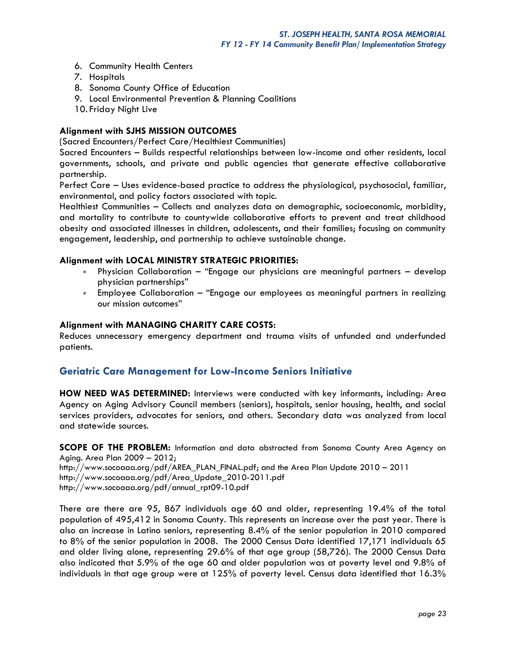- 6. Community Health Centers
- 7. Hospitals
- 8. Sonoma County Office of Education
- 9. Local Environmental Prevention & Planning Coalitions
- 10. Friday Night Live

### **Alignment with SJHS MISSION OUTCOMES**

(Sacred Encounters/Perfect Care/Healthiest Communities)

Sacred Encounters – Builds respectful relationships between low-income and other residents, local governments, schools, and private and public agencies that generate effective collaborative partnership.

Perfect Care – Uses evidence-based practice to address the physiological, psychosocial, familiar, environmental, and policy factors associated with topic.

Healthiest Communities – Collects and analyzes data on demographic, socioeconomic, morbidity, and mortality to contribute to countywide collaborative efforts to prevent and treat childhood obesity and associated illnesses in children, adolescents, and their families; focusing on community engagement, leadership, and partnership to achieve sustainable change.

### **Alignment with LOCAL MINISTRY STRATEGIC PRIORITIES:**

- Physician Collaboration "Engage our physicians are meaningful partners develop physician partnerships"
- Employee Collaboration "Engage our employees as meaningful partners in realizing our mission outcomes"

### **Alignment with MANAGING CHARITY CARE COSTS:**

Reduces unnecessary emergency department and trauma visits of unfunded and underfunded patients.

### **Geriatric Care Management for Low-Income Seniors Initiative**

**HOW NEED WAS DETERMINED:** Interviews were conducted with key informants, including: Area Agency on Aging Advisory Council members (seniors), hospitals, senior housing, health, and social services providers, advocates for seniors, and others. Secondary data was analyzed from local and statewide sources.

**SCOPE OF THE PROBLEM:** Information and data abstracted from Sonoma County Area Agency on Aging. Area Plan 2009 – 2012; [http://www.socoaaa.org/pdf/AREA\\_PLAN\\_FINAL.pdf;](http://www.socoaaa.org/pdf/AREA_PLAN_FINAL.pdf) and the Area Plan Update 2010 – 2011 [http://www.socoaaa.org/pdf/Area\\_Update\\_2010-2011.pdf](http://www.socoaaa.org/pdf/Area_Update_2010-2011.pdf) [http://www.socoaaa.org/pdf/annual\\_rpt09-10.pdf](http://www.socoaaa.org/pdf/annual_rpt09-10.pdf)

There are there are 95, 867 individuals age 60 and older, representing 19.4% of the total population of 495,412 in Sonoma County. This represents an increase over the past year. There is also an increase in Latino seniors, representing 8.4% of the senior population in 2010 compared to 8% of the senior population in 2008. The 2000 Census Data identified 17,171 individuals 65 and older living alone, representing 29.6% of that age group (58,726). The 2000 Census Data also indicated that 5.9% of the age 60 and older population was at poverty level and 9.8% of individuals in that age group were at 125% of poverty level. Census data identified that 16.3%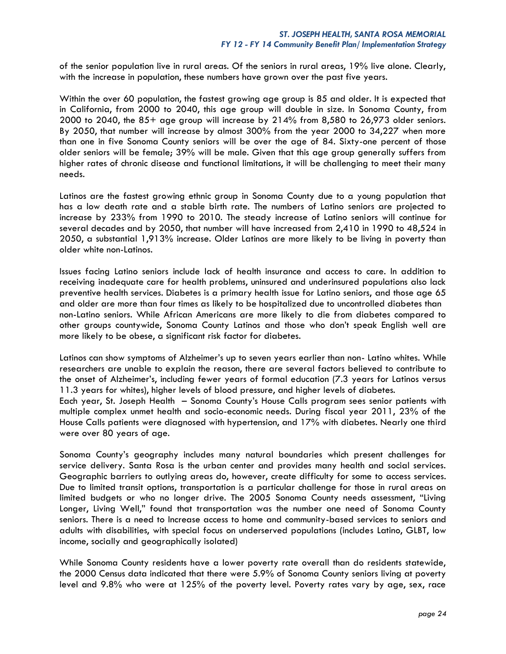of the senior population live in rural areas. Of the seniors in rural areas, 19% live alone. Clearly, with the increase in population, these numbers have grown over the past five years.

Within the over 60 population, the fastest growing age group is 85 and older. It is expected that in California, from 2000 to 2040, this age group will double in size. In Sonoma County, from 2000 to 2040, the 85+ age group will increase by 214% from 8,580 to 26,973 older seniors. By 2050, that number will increase by almost 300% from the year 2000 to 34,227 when more than one in five Sonoma County seniors will be over the age of 84. Sixty-one percent of those older seniors will be female; 39% will be male. Given that this age group generally suffers from higher rates of chronic disease and functional limitations, it will be challenging to meet their many needs.

Latinos are the fastest growing ethnic group in Sonoma County due to a young population that has a low death rate and a stable birth rate. The numbers of Latino seniors are projected to increase by 233% from 1990 to 2010. The steady increase of Latino seniors will continue for several decades and by 2050, that number will have increased from 2,410 in 1990 to 48,524 in 2050, a substantial 1,913% increase. Older Latinos are more likely to be living in poverty than older white non-Latinos.

Issues facing Latino seniors include lack of health insurance and access to care. In addition to receiving inadequate care for health problems, uninsured and underinsured populations also lack preventive health services. Diabetes is a primary health issue for Latino seniors, and those age 65 and older are more than four times as likely to be hospitalized due to uncontrolled diabetes than non-Latino seniors. While African Americans are more likely to die from diabetes compared to other groups countywide, Sonoma County Latinos and those who don't speak English well are more likely to be obese, a significant risk factor for diabetes.

Latinos can show symptoms of Alzheimer's up to seven years earlier than non- Latino whites. While researchers are unable to explain the reason, there are several factors believed to contribute to the onset of Alzheimer's, including fewer years of formal education (7.3 years for Latinos versus 11.3 years for whites), higher levels of blood pressure, and higher levels of diabetes.

Each year, St. Joseph Health – Sonoma County's House Calls program sees senior patients with multiple complex unmet health and socio-economic needs. During fiscal year 2011, 23% of the House Calls patients were diagnosed with hypertension, and 17% with diabetes. Nearly one third were over 80 years of age.

Sonoma County's geography includes many natural boundaries which present challenges for service delivery. Santa Rosa is the urban center and provides many health and social services. Geographic barriers to outlying areas do, however, create difficulty for some to access services. Due to limited transit options, transportation is a particular challenge for those in rural areas on limited budgets or who no longer drive. The 2005 Sonoma County needs assessment, "Living Longer, Living Well," found that transportation was the number one need of Sonoma County seniors. There is a need to Increase access to home and community-based services to seniors and adults with disabilities, with special focus on underserved populations (includes Latino, GLBT, low income, socially and geographically isolated)

While Sonoma County residents have a lower poverty rate overall than do residents statewide, the 2000 Census data indicated that there were 5.9% of Sonoma County seniors living at poverty level and 9.8% who were at 125% of the poverty level. Poverty rates vary by age, sex, race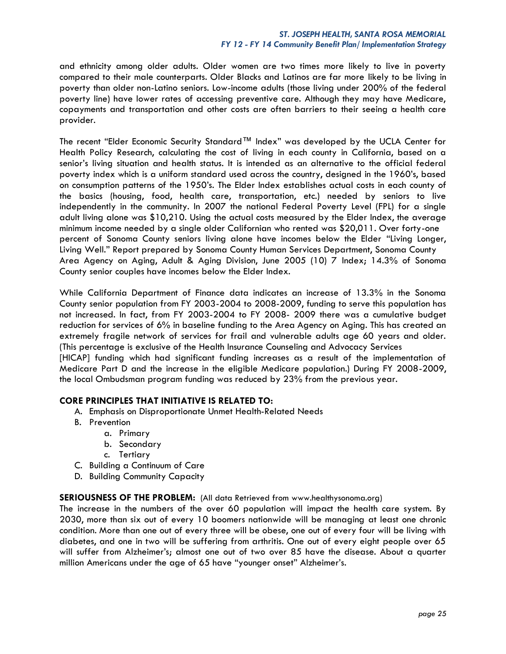and ethnicity among older adults. Older women are two times more likely to live in poverty compared to their male counterparts. Older Blacks and Latinos are far more likely to be living in poverty than older non-Latino seniors. Low-income adults (those living under 200% of the federal poverty line) have lower rates of accessing preventive care. Although they may have Medicare, copayments and transportation and other costs are often barriers to their seeing a health care provider.

The recent "Elder Economic Security Standard™ Index" was developed by the UCLA Center for Health Policy Research, calculating the cost of living in each county in California, based on a senior's living situation and health status. It is intended as an alternative to the official federal poverty index which is a uniform standard used across the country, designed in the 1960's, based on consumption patterns of the 1950's. The Elder Index establishes actual costs in each county of the basics (housing, food, health care, transportation, etc.) needed by seniors to live independently in the community. In 2007 the national Federal Poverty Level (FPL) for a single adult living alone was \$10,210. Using the actual costs measured by the Elder Index, the average minimum income needed by a single older Californian who rented was \$20,011. Over forty-one percent of Sonoma County seniors living alone have incomes below the Elder "Living Longer, Living Well." Report prepared by Sonoma County Human Services Department, Sonoma County Area Agency on Aging, Adult & Aging Division, June 2005 (10) 7 Index; 14.3% of Sonoma County senior couples have incomes below the Elder Index.

While California Department of Finance data indicates an increase of 13.3% in the Sonoma County senior population from FY 2003-2004 to 2008-2009, funding to serve this population has not increased. In fact, from FY 2003-2004 to FY 2008- 2009 there was a cumulative budget reduction for services of 6% in baseline funding to the Area Agency on Aging. This has created an extremely fragile network of services for frail and vulnerable adults age 60 years and older. (This percentage is exclusive of the Health Insurance Counseling and Advocacy Services [HICAP] funding which had significant funding increases as a result of the implementation of Medicare Part D and the increase in the eligible Medicare population.) During FY 2008-2009, the local Ombudsman program funding was reduced by 23% from the previous year.

### **CORE PRINCIPLES THAT INITIATIVE IS RELATED TO:**

- A. Emphasis on Disproportionate Unmet Health-Related Needs
- B. Prevention
	- a. Primary
		- b. Secondary
		- c. Tertiary
- C. Building a Continuum of Care
- D. Building Community Capacity

### **SERIOUSNESS OF THE PROBLEM:** (All data Retrieved from [www.healthysonoma.org\)](http://www.healthysonoma.org/)

The increase in the numbers of the over 60 population will impact the health care system. By 2030, more than six out of every 10 boomers nationwide will be managing at least one chronic condition. More than one out of every three will be obese, one out of every four will be living with diabetes, and one in two will be suffering from arthritis. One out of every eight people over 65 will suffer from Alzheimer's; almost one out of two over 85 have the disease. About a quarter million Americans under the age of 65 have "younger onset" Alzheimer's.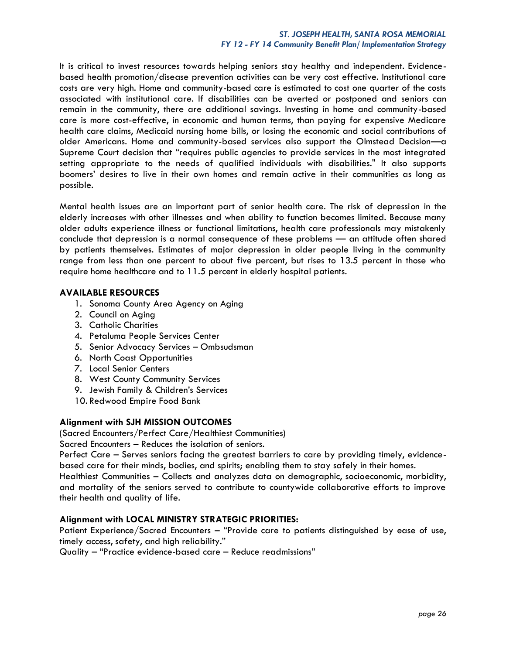### *ST. JOSEPH HEALTH, SANTA ROSA MEMORIAL FY 12 - FY 14 Community Benefit Plan/ Implementation Strategy*

It is critical to invest resources towards helping seniors stay healthy and independent. Evidencebased health promotion/disease prevention activities can be very cost effective. Institutional care costs are very high. Home and community-based care is estimated to cost one quarter of the costs associated with institutional care. If disabilities can be averted or postponed and seniors can remain in the community, there are additional savings. Investing in home and community-based care is more cost-effective, in economic and human terms, than paying for expensive Medicare health care claims, Medicaid nursing home bills, or losing the economic and social contributions of older Americans. Home and community-based services also support the Olmstead Decision—a Supreme Court decision that "requires public agencies to provide services in the most integrated setting appropriate to the needs of qualified individuals with disabilities." It also supports boomers' desires to live in their own homes and remain active in their communities as long as possible.

Mental health issues are an important part of senior health care. The risk of depression in the elderly increases with other illnesses and when ability to function becomes limited. Because many older adults experience illness or functional limitations, health care professionals may mistakenly conclude that depression is a normal consequence of these problems — an attitude often shared by patients themselves. Estimates of major depression in older people living in the community range from less than one percent to about five percent, but rises to 13.5 percent in those who require home healthcare and to 11.5 percent in elderly hospital patients.

### **AVAILABLE RESOURCES**

- 1. Sonoma County Area Agency on Aging
- 2. Council on Aging
- 3. Catholic Charities
- 4. Petaluma People Services Center
- 5. Senior Advocacy Services Ombsudsman
- 6. North Coast Opportunities
- 7. Local Senior Centers
- 8. West County Community Services
- 9. Jewish Family & Children's Services
- 10. Redwood Empire Food Bank

### **Alignment with SJH MISSION OUTCOMES**

(Sacred Encounters/Perfect Care/Healthiest Communities)

Sacred Encounters – Reduces the isolation of seniors.

Perfect Care – Serves seniors facing the greatest barriers to care by providing timely, evidencebased care for their minds, bodies, and spirits; enabling them to stay safely in their homes.

Healthiest Communities – Collects and analyzes data on demographic, socioeconomic, morbidity, and mortality of the seniors served to contribute to countywide collaborative efforts to improve their health and quality of life.

### **Alignment with LOCAL MINISTRY STRATEGIC PRIORITIES:**

Patient Experience/Sacred Encounters – "Provide care to patients distinguished by ease of use, timely access, safety, and high reliability."

Quality – "Practice evidence-based care – Reduce readmissions"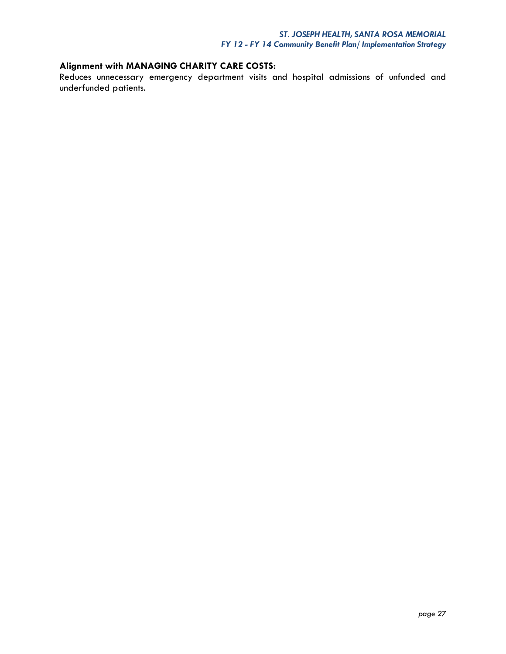# **Alignment with MANAGING CHARITY CARE COSTS:**

Reduces unnecessary emergency department visits and hospital admissions of unfunded and underfunded patients.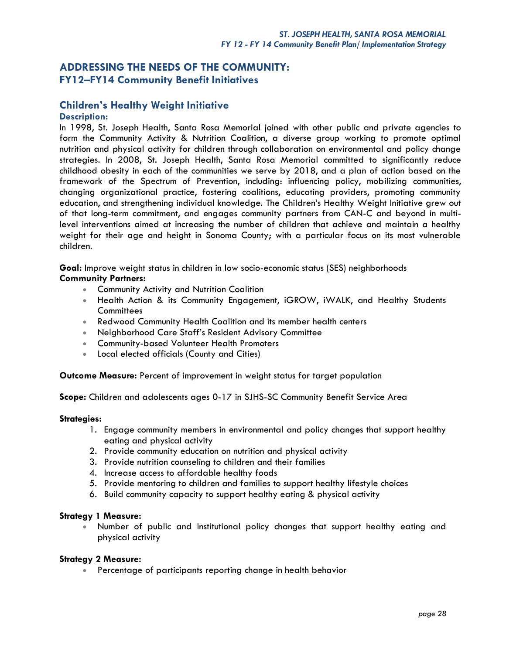# **ADDRESSING THE NEEDS OF THE COMMUNITY: FY12–FY14 Community Benefit Initiatives**

# **Children's Healthy Weight Initiative**

### **Description:**

In 1998, St. Joseph Health, Santa Rosa Memorial joined with other public and private agencies to form the Community Activity & Nutrition Coalition, a diverse group working to promote optimal nutrition and physical activity for children through collaboration on environmental and policy change strategies. In 2008, St. Joseph Health, Santa Rosa Memorial committed to significantly reduce childhood obesity in each of the communities we serve by 2018, and a plan of action based on the framework of the Spectrum of Prevention, including: influencing policy, mobilizing communities, changing organizational practice, fostering coalitions, educating providers, promoting community education, and strengthening individual knowledge. The Children's Healthy Weight Initiative grew out of that long-term commitment, and engages community partners from CAN-C and beyond in multilevel interventions aimed at increasing the number of children that achieve and maintain a healthy weight for their age and height in Sonoma County; with a particular focus on its most vulnerable children.

**Goal:** Improve weight status in children in low socio-economic status (SES) neighborhoods

### **Community Partners:**

- **Community Activity and Nutrition Coalition**
- Health Action & its Community Engagement, iGROW, iWALK, and Healthy Students **Committees**
- Redwood Community Health Coalition and its member health centers
- Neighborhood Care Staff's Resident Advisory Committee
- Community-based Volunteer Health Promoters
- Local elected officials (County and Cities)

**Outcome Measure:** Percent of improvement in weight status for target population

**Scope:** Children and adolescents ages 0-17 in SJHS-SC Community Benefit Service Area

### **Strategies:**

- 1. Engage community members in environmental and policy changes that support healthy eating and physical activity
- 2. Provide community education on nutrition and physical activity
- 3. Provide nutrition counseling to children and their families
- 4. Increase access to affordable healthy foods
- 5. Provide mentoring to children and families to support healthy lifestyle choices
- 6. Build community capacity to support healthy eating & physical activity

### **Strategy 1 Measure:**

 Number of public and institutional policy changes that support healthy eating and physical activity

### **Strategy 2 Measure:**

Percentage of participants reporting change in health behavior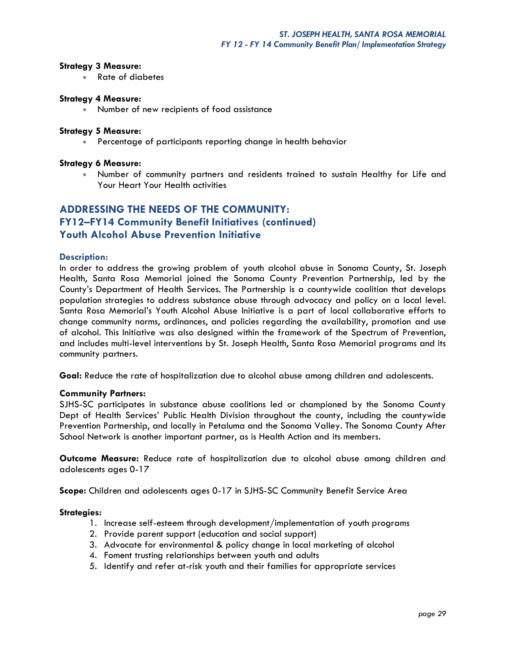### **Strategy 3 Measure:**

Rate of diabetes

### **Strategy 4 Measure:**

Number of new recipients of food assistance

### **Strategy 5 Measure:**

Percentage of participants reporting change in health behavior

### **Strategy 6 Measure:**

 Number of community partners and residents trained to sustain Healthy for Life and Your Heart Your Health activities

# **ADDRESSING THE NEEDS OF THE COMMUNITY: FY12–FY14 Community Benefit Initiatives (continued) Youth Alcohol Abuse Prevention Initiative**

### **Description:**

In order to address the growing problem of youth alcohol abuse in Sonoma County, St. Joseph Health, Santa Rosa Memorial joined the Sonoma County Prevention Partnership, led by the County's Department of Health Services. The Partnership is a countywide coalition that develops population strategies to address substance abuse through advocacy and policy on a local level. Santa Rosa Memorial's Youth Alcohol Abuse Initiative is a part of local collaborative efforts to change community norms, ordinances, and policies regarding the availability, promotion and use of alcohol. This Initiative was also designed within the framework of the Spectrum of Prevention, and includes multi-level interventions by St. Joseph Health, Santa Rosa Memorial programs and its community partners.

**Goal:** Reduce the rate of hospitalization due to alcohol abuse among children and adolescents.

### **Community Partners:**

SJHS-SC participates in substance abuse coalitions led or championed by the Sonoma County Dept of Health Services' Public Health Division throughout the county, including the countywide Prevention Partnership, and locally in Petaluma and the Sonoma Valley. The Sonoma County After School Network is another important partner, as is Health Action and its members.

**Outcome Measure:** Reduce rate of hospitalization due to alcohol abuse among children and adolescents ages 0-17

**Scope:** Children and adolescents ages 0-17 in SJHS-SC Community Benefit Service Area

### **Strategies:**

- 1. Increase self-esteem through development/implementation of youth programs
- 2. Provide parent support (education and social support)
- 3. Advocate for environmental & policy change in local marketing of alcohol
- 4. Foment trusting relationships between youth and adults
- 5. Identify and refer at-risk youth and their families for appropriate services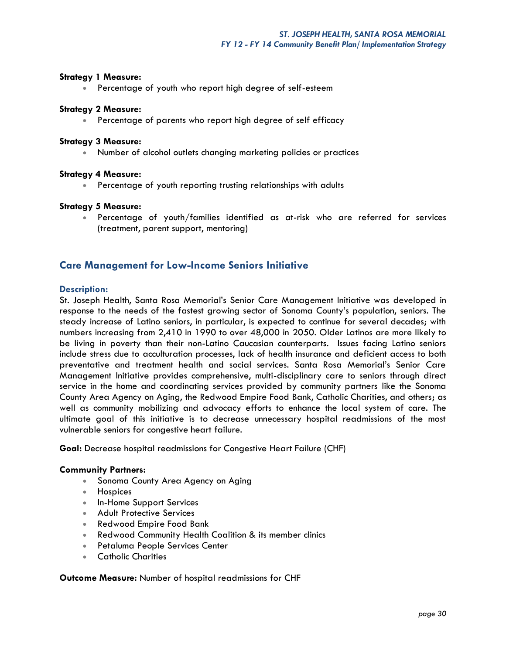### **Strategy 1 Measure:**

Percentage of youth who report high degree of self-esteem

### **Strategy 2 Measure:**

Percentage of parents who report high degree of self efficacy

### **Strategy 3 Measure:**

Number of alcohol outlets changing marketing policies or practices

### **Strategy 4 Measure:**

Percentage of youth reporting trusting relationships with adults

### **Strategy 5 Measure:**

 Percentage of youth/families identified as at-risk who are referred for services (treatment, parent support, mentoring)

### **Care Management for Low-Income Seniors Initiative**

### **Description:**

St. Joseph Health, Santa Rosa Memorial's Senior Care Management Initiative was developed in response to the needs of the fastest growing sector of Sonoma County's population, seniors. The steady increase of Latino seniors, in particular, is expected to continue for several decades; with numbers increasing from 2,410 in 1990 to over 48,000 in 2050. Older Latinos are more likely to be living in poverty than their non-Latino Caucasian counterparts. Issues facing Latino seniors include stress due to acculturation processes, lack of health insurance and deficient access to both preventative and treatment health and social services. Santa Rosa Memorial's Senior Care Management Initiative provides comprehensive, multi-disciplinary care to seniors through direct service in the home and coordinating services provided by community partners like the Sonoma County Area Agency on Aging, the Redwood Empire Food Bank, Catholic Charities, and others; as well as community mobilizing and advocacy efforts to enhance the local system of care. The ultimate goal of this initiative is to decrease unnecessary hospital readmissions of the most vulnerable seniors for congestive heart failure.

**Goal:** Decrease hospital readmissions for Congestive Heart Failure (CHF)

### **Community Partners:**

- Sonoma County Area Agency on Aging
- Hospices
- In-Home Support Services
- **Adult Protective Services**
- Redwood Empire Food Bank
- Redwood Community Health Coalition & its member clinics
- **Petaluma People Services Center**
- Catholic Charities

### **Outcome Measure:** Number of hospital readmissions for CHF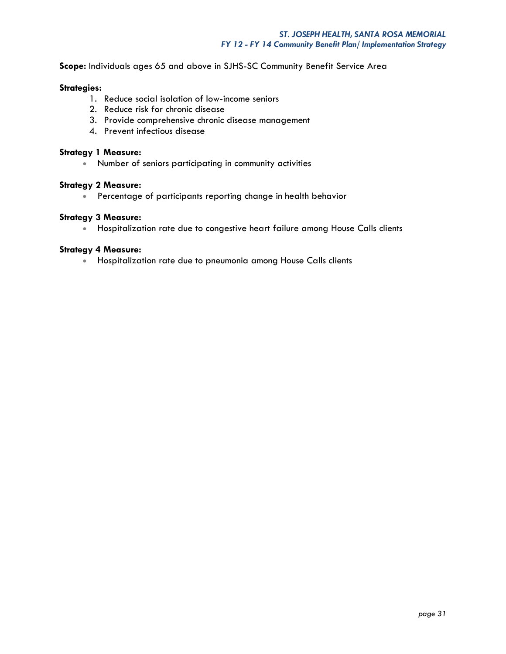**Scope:** Individuals ages 65 and above in SJHS-SC Community Benefit Service Area

### **Strategies:**

- 1. Reduce social isolation of low-income seniors
- 2. Reduce risk for chronic disease
- 3. Provide comprehensive chronic disease management
- 4. Prevent infectious disease

### **Strategy 1 Measure:**

Number of seniors participating in community activities

### **Strategy 2 Measure:**

Percentage of participants reporting change in health behavior

### **Strategy 3 Measure:**

Hospitalization rate due to congestive heart failure among House Calls clients

### **Strategy 4 Measure:**

**•** Hospitalization rate due to pneumonia among House Calls clients